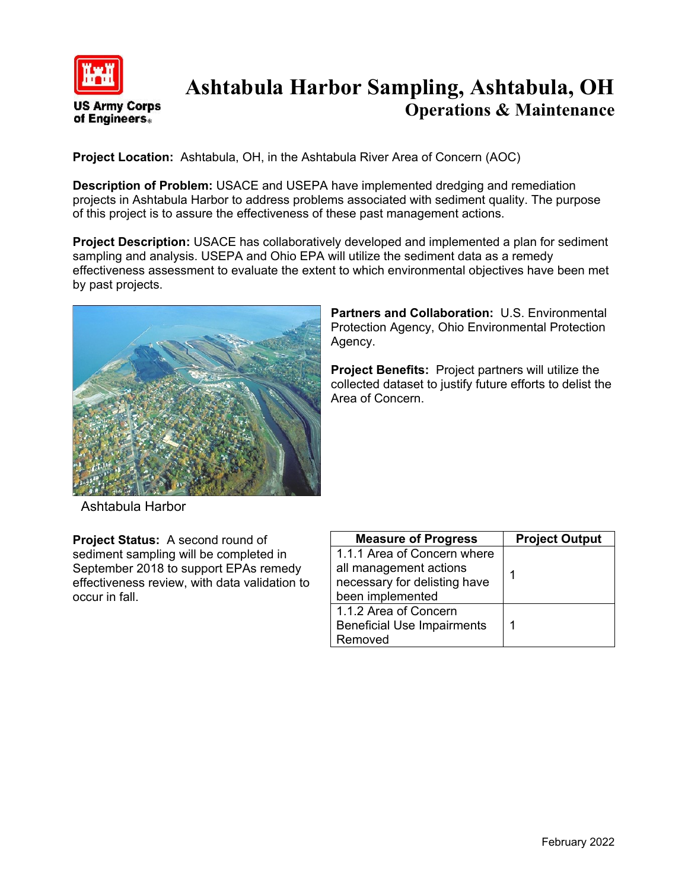

## **Ashtabula Harbor Sampling, Ashtabula, OH Operations & Maintenance**

**Project Location:** Ashtabula, OH, in the Ashtabula River Area of Concern (AOC)

**Description of Problem:** USACE and USEPA have implemented dredging and remediation projects in Ashtabula Harbor to address problems associated with sediment quality. The purpose of this project is to assure the effectiveness of these past management actions.

**Project Description:** USACE has collaboratively developed and implemented a plan for sediment sampling and analysis. USEPA and Ohio EPA will utilize the sediment data as a remedy effectiveness assessment to evaluate the extent to which environmental objectives have been met by past projects.



**Partners and Collaboration:** U.S. Environmental Protection Agency, Ohio Environmental Protection Agency.

**Project Benefits:** Project partners will utilize the collected dataset to justify future efforts to delist the Area of Concern.

Ashtabula Harbor

**Project Status:** A second round of sediment sampling will be completed in September 2018 to support EPAs remedy effectiveness review, with data validation to occur in fall.

| <b>Measure of Progress</b>        | <b>Project Output</b> |
|-----------------------------------|-----------------------|
| 1.1.1 Area of Concern where       |                       |
| all management actions            | 1                     |
| necessary for delisting have      |                       |
| been implemented                  |                       |
| 1.1.2 Area of Concern             |                       |
| <b>Beneficial Use Impairments</b> | 1                     |
| Removed                           |                       |